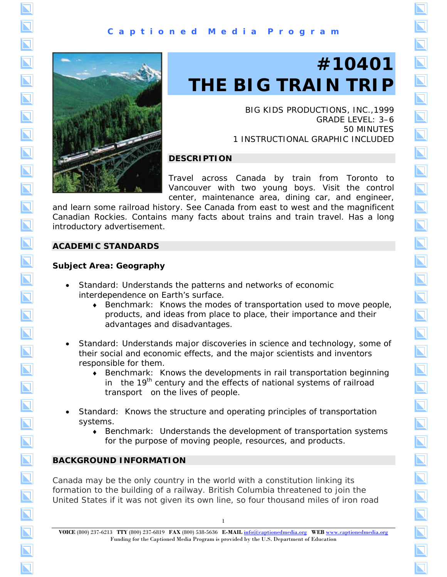

# **#10401 THE BIG TRAIN TRIP**

BIG KIDS PRODUCTIONS, INC.,1999 GRADE LEVEL: 3–6 50 MINUTES 1 INSTRUCTIONAL GRAPHIC INCLUDED  $\overline{\bm{\Sigma}}$ 

 $\overline{\blacksquare}$ 

 $\overline{\bm{\Sigma}}$ 

 $\overline{\bf N}$ 

 $\overline{\bm{\Sigma}}$ 

 $\overline{\blacktriangle}$ 

 $\overline{\blacksquare}$ 

 $\overline{\bf N}$ 

 $\overline{\blacktriangle}$ 

 $\overline{\blacktriangle}$ 

 $\overline{\bm{\Sigma}}$ 

 $\overline{\bf N}$ 

 $\overline{\mathbf{N}}$ 

 $\overline{\bm{\mathsf{N}}}$ 

 $\overline{\bm{\Sigma}}$ 

 $\overline{\bm{\mathsf{N}}}$ 

 $\overline{\bm{\Sigma}}$ 

 $\overline{\blacktriangle}$ 

 $\overline{\bm{\mathsf{N}}}$ 

 $\overline{\bm{\Sigma}}$ 

 $\overline{\bm{\Sigma}}$ 

# **DESCRIPTION**

Travel across Canada by train from Toronto to Vancouver with two young boys. Visit the control center, maintenance area, dining car, and engineer,

and learn some railroad history. See Canada from east to west and the magnificent Canadian Rockies. Contains many facts about trains and train travel. Has a long introductory advertisement.

# **ACADEMIC STANDARDS**

# **Subject Area: Geography**

- Standard: Understands the patterns and networks of economic interdependence on Earth's surface.
	- ♦ Benchmark: Knows the modes of transportation used to move people, products, and ideas from place to place, their importance and their advantages and disadvantages.
- Standard: Understands major discoveries in science and technology, some of their social and economic effects, and the major scientists and inventors responsible for them.
	- ♦ Benchmark: Knows the developments in rail transportation beginning in the  $19<sup>th</sup>$  century and the effects of national systems of railroad transport on the lives of people.
- Standard: Knows the structure and operating principles of transportation systems.
	- ♦ Benchmark: Understands the development of transportation systems for the purpose of moving people, resources, and products.

# **BACKGROUND INFORMATION**

Canada may be the only country in the world with a constitution linking its formation to the building of a railway. British Columbia threatened to join the United States if it was not given its own line, so four thousand miles of iron road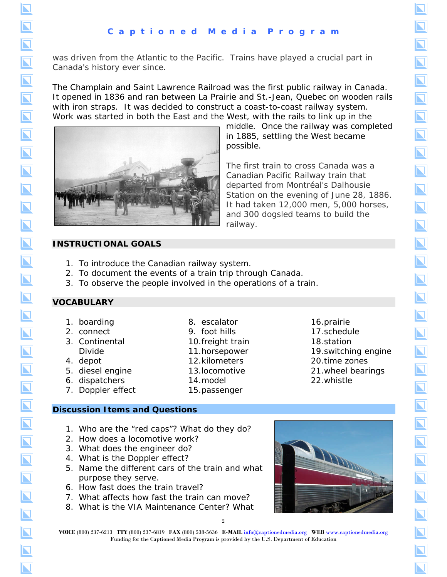was driven from the Atlantic to the Pacific. Trains have played a crucial part in Canada's history ever since.

The Champlain and Saint Lawrence Railroad was the first public railway in Canada. It opened in 1836 and ran between La Prairie and St.-Jean, Quebec on wooden rails with iron straps. It was decided to construct a coast-to-coast railway system. Work was started in both the East and the West, with the rails to link up in the



middle. Once the railway was completed in 1885, settling the West became possible.

 $\overline{\blacktriangledown}$ 

 $\overline{\blacktriangleleft}$ 

 $\overline{\bf N}$ 

 $\overline{\bf N}$ 

 $\overline{\bf N}$ 

 $\overline{\bf N}$ 

 $\overline{\bm{\Sigma}}$ 

 $\overline{\bm{\nabla}}$ 

The first train to cross Canada was a Canadian Pacific Railway train that departed from Montréal's Dalhousie Station on the evening of June 28, 1886. It had taken 12,000 men, 5,000 horses, and 300 dogsled teams to build the railway.

# **INSTRUCTIONAL GOALS**

- 1. To introduce the Canadian railway system.
- 2. To document the events of a train trip through Canada.
- 3. To observe the people involved in the operations of a train.

# **VOCABULARY**

- 1. boarding
- 2. connect
- 3. Continental Divide
- 4. depot
- 5. diesel engine
- 6. dispatchers
- 7. Doppler effect
- 8. escalator 9. foot hills
- 10.freight train
- 11.horsepower
- 12.kilometers
- 13.locomotive

15.passenger

14.model

17.schedule 18.station 19.switching engine 20.time zones

16.prairie

- 21.wheel bearings
- 22.whistle

- **Discussion Items and Questions** 
	- 1. Who are the "red caps"? What do they do?
	- 2. How does a locomotive work?
	- 3. What does the engineer do?
	- 4. What is the Doppler effect?
	- 5. Name the different cars of the train and what purpose they serve.
	- 6. How fast does the train travel?
	- 7. What affects how fast the train can move?
	- 8. What is the VIA Maintenance Center? What



<sup>2</sup> **VOICE** (800) 237-6213 **TTY** (800) 237-6819 **FAX** (800) 538-5636 **E-MAIL** [info@captionedmedia.org](mailto:info@captionedmedia.org) **WEB** [www.captionedmedia.org](http://www.captionedmedia.org)  Funding for the Captioned Media Program is provided by the U.S. Department of Education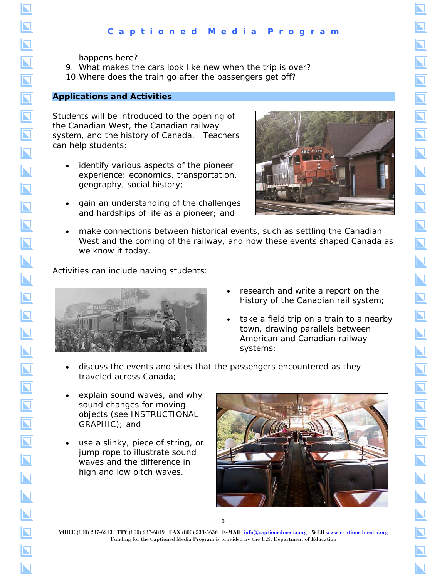happens here?

9. What makes the cars look like new when the trip is over? 10.Where does the train go after the passengers get off?

#### **Applications and Activities**

Students will be introduced to the opening of the Canadian West, the Canadian railway system, and the history of Canada. Teachers can help students:

- identify various aspects of the pioneer experience: economics, transportation, geography, social history;
- gain an understanding of the challenges and hardships of life as a pioneer; and



 $\overline{\bf N}$ 

 $\overline{\bf N}$ 

 $\overline{\bf N}$ 

 $\overline{\blacktriangle}$ 

 $\overline{\bm{\Sigma}}$ 

 $\overline{\mathbf{N}}$ 

 $\overline{\mathbf{N}}$ 

 $\overline{\mathbf{N}}$ 

 $\overline{\mathbf{N}}$ 

 $\overline{\blacktriangle}$ 

 $\overline{\bm{\Sigma}}$ 

 $\overline{\bm{\Sigma}}$ 

 $\overline{\bm{\Sigma}}$ 

 $\overline{\mathbf{N}}$ 

 $\overline{\mathbf{N}}$ 

 $\overline{\mathbf{N}}$ 

 $\overline{\bf N}$ 

 $\overline{\mathbf{N}}$ 

 $\overline{\bf N}$ 

 $\overline{\bm{\nabla}}$ 

make connections between historical events, such as settling the Canadian West and the coming of the railway, and how these events shaped Canada as we know it today.

Activities can include having students:



- research and write a report on the history of the Canadian rail system;
- take a field trip on a train to a nearby town, drawing parallels between American and Canadian railway systems;
- discuss the events and sites that the passengers encountered as they traveled across Canada;
- explain sound waves, and why sound changes for moving objects (see INSTRUCTIONAL GRAPHIC); and
- use a slinky, piece of string, or jump rope to illustrate sound waves and the difference in high and low pitch waves.



**VOICE** (800) 237-6213 **TTY** (800) 237-6819 **FAX** (800) 538-5636 **E-MAIL** [info@captionedmedia.org](mailto:info@captionedmedia.org) **WEB** [www.captionedmedia.org](http://www.captionedmedia.org)  Funding for the Captioned Media Program is provided by the U.S. Department of Education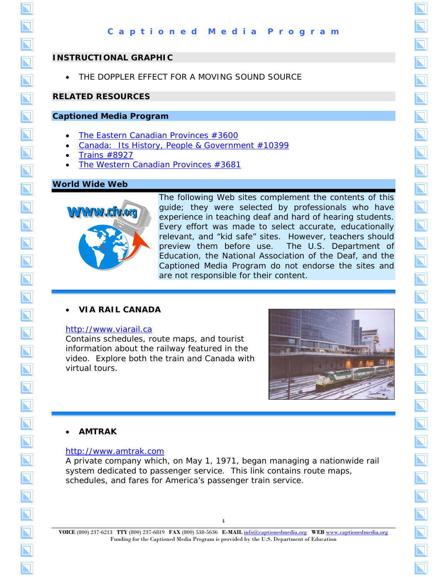#### **INSTRUCTIONAL GRAPHIC**

THE DOPPLER EFFECT FOR A MOVING SOUND SOURCE

#### **RELATED RESOURCES**

#### **Captioned Media Program**

- *[The Eastern Canadian Provinces](http://www.captionedmedia.org/titledetail.asp?dn=3600)* #3600
- *[Canada: Its History, People & Government](http://www.captionedmedia.org/titledetail.asp?dn=10399)* #10399
- *Trains* [#8927](http://www.captionedmedia.org/titledetail.asp?dn=8927)
- *[The Western Canadian Provinces](http://www.captionedmedia.org/titledetail.asp?dn=3681)* #3681

#### **World Wide Web**



The following Web sites complement the contents of this guide; they were selected by professionals who have experience in teaching deaf and hard of hearing students. Every effort was made to select accurate, educationally relevant, and "kid safe" sites. However, teachers should preview them before use. The U.S. Department of Education, the National Association of the Deaf, and the Captioned Media Program do not endorse the sites and are not responsible for their content.

#### • **VIA RAIL CANADA**

#### [http://www.viarail.ca](http://www.viarail.ca/)

Contains schedules, route maps, and tourist information about the railway featured in the video. Explore both the train and Canada with virtual tours.



 $\overline{\bf N}$ 

 $\overline{\mathbf{N}}$ 

 $\overline{\bm{\Sigma}}$ 

 $\overline{\bf N}$ 

 $\overline{\bf N}$ 

 $\overline{\bm{\nabla}}$ 

#### • **AMTRAK**

#### [http://www.amtrak.com](http://www.amtrak.com/servlet/ContentServer?pagename=Amtrak/Page/Traveling_With_Amtrak_Index_Page&c=Page&cid=1080072922215&ssid=6)

A private company which, on May 1, 1971, began managing a nationwide rail system dedicated to passenger service. This link contains route maps, schedules, and fares for America's passenger train service.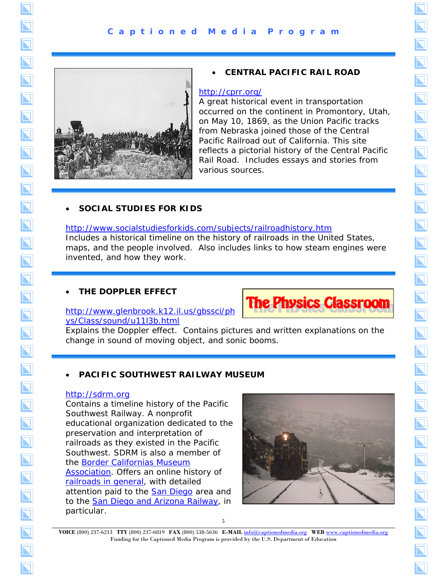

# • **CENTRAL PACIFIC RAIL ROAD**

## <http://cprr.org/>

A great historical event in transportation occurred on the continent in Promontory, Utah, on May 10, 1869, as the Union Pacific tracks from Nebraska joined those of the Central Pacific Railroad out of California. This site reflects a pictorial history of the Central Pacific Rail Road. Includes essays and stories from various sources.

 $\overline{\blacksquare}$ 

 $\overline{\bf N}$ 

 $\overline{\bm{\Sigma}}$ 

 $\overline{\bm{\Sigma}}$ 

 $\overline{\blacktriangle}$ 

 $\overline{\bf N}$ 

 $\overline{\mathbf{N}}$ 

 $\overline{\blacktriangle}$ 

 $\overline{\mathbf{N}}$ 

 $\overline{\bm{\Sigma}}$ 

 $\overline{\bm{\nabla}}$ 

# • **SOCIAL STUDIES FOR KIDS**

<http://www.socialstudiesforkids.com/subjects/railroadhistory.htm> Includes a historical timeline on the history of railroads in the United States, maps, and the people involved. Also includes links to how steam engines were invented, and how they work.

# • **THE DOPPLER EFFECT**





Explains the Doppler effect. Contains pictures and written explanations on the change in sound of moving object, and sonic booms.

# • **PACIFIC SOUTHWEST RAILWAY MUSEUM**

### [http://sdrm.org](http://sdrm.org/)

Contains a timeline history of the Pacific Southwest Railway. A nonprofit educational organization dedicated to the preservation and interpretation of railroads as they existed in the Pacific Southwest. SDRM is also a member of [the Border Californias Museum](http://sdrm.org/border/)  Association. Offers an online history of [railroads in general,](http://sdrm.org/history/timeline/) with detailed attention paid to the **San Diego** area and to the [San Diego and Arizona Railway,](http://sdrm.org/history/sda/) in particular.